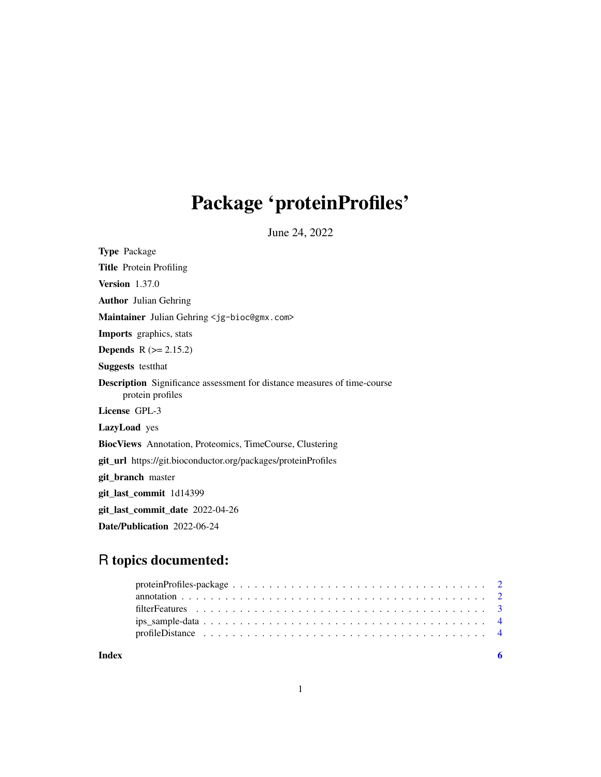## Package 'proteinProfiles'

June 24, 2022

Type Package Title Protein Profiling Version 1.37.0 Author Julian Gehring Maintainer Julian Gehring <jg-bioc@gmx.com> Imports graphics, stats Depends R (>= 2.15.2) Suggests testthat Description Significance assessment for distance measures of time-course protein profiles License GPL-3 LazyLoad yes BiocViews Annotation, Proteomics, TimeCourse, Clustering git\_url https://git.bioconductor.org/packages/proteinProfiles git\_branch master git\_last\_commit 1d14399 git\_last\_commit\_date 2022-04-26 Date/Publication 2022-06-24

### R topics documented:

| Index |  |
|-------|--|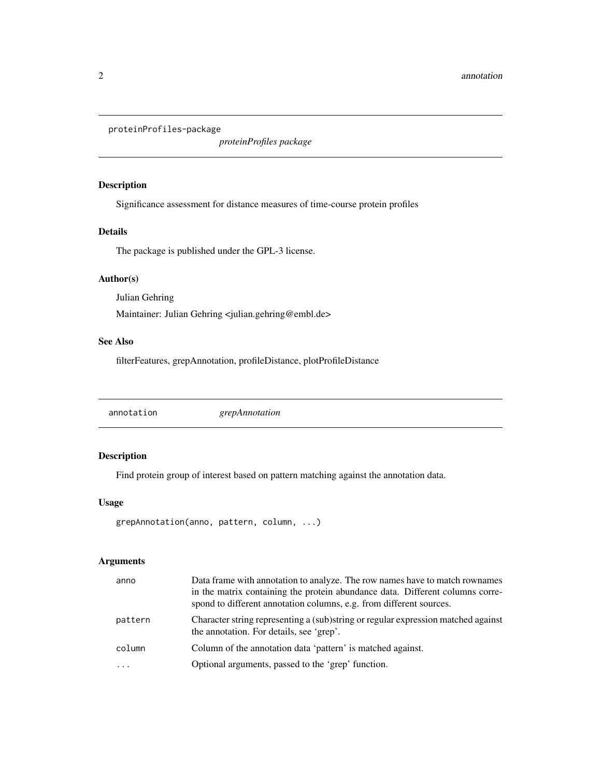<span id="page-1-0"></span>proteinProfiles-package

*proteinProfiles package*

#### Description

Significance assessment for distance measures of time-course protein profiles

#### Details

The package is published under the GPL-3 license.

#### Author(s)

Julian Gehring Maintainer: Julian Gehring <julian.gehring@embl.de>

#### See Also

filterFeatures, grepAnnotation, profileDistance, plotProfileDistance

annotation *grepAnnotation*

#### Description

Find protein group of interest based on pattern matching against the annotation data.

#### Usage

```
grepAnnotation(anno, pattern, column, ...)
```
#### Arguments

| anno       | Data frame with annotation to analyze. The row names have to match rownames<br>in the matrix containing the protein abundance data. Different columns corre-<br>spond to different annotation columns, e.g. from different sources. |
|------------|-------------------------------------------------------------------------------------------------------------------------------------------------------------------------------------------------------------------------------------|
| pattern    | Character string representing a (sub)string or regular expression matched against<br>the annotation. For details, see 'grep'.                                                                                                       |
| column     | Column of the annotation data 'pattern' is matched against.                                                                                                                                                                         |
| $\ddots$ . | Optional arguments, passed to the 'grep' function.                                                                                                                                                                                  |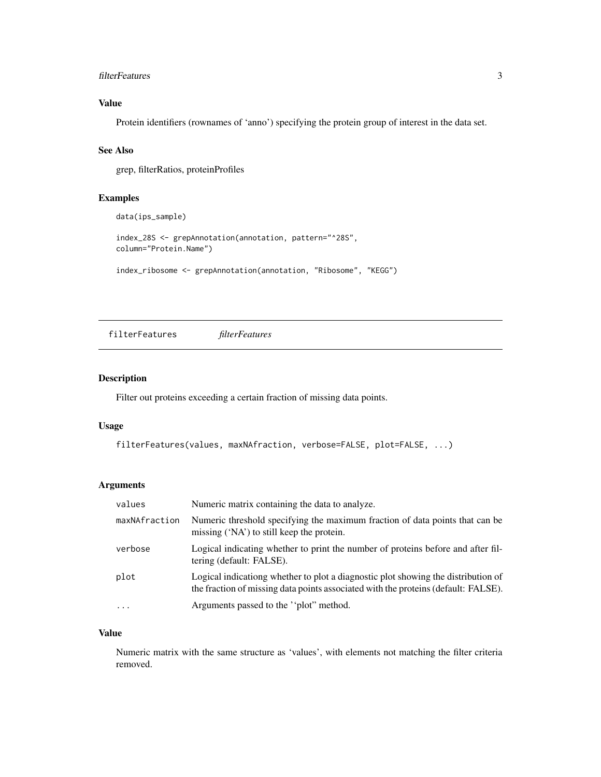#### <span id="page-2-0"></span>filterFeatures 3

#### Value

Protein identifiers (rownames of 'anno') specifying the protein group of interest in the data set.

#### See Also

grep, filterRatios, proteinProfiles

#### Examples

data(ips\_sample)

```
index_28S <- grepAnnotation(annotation, pattern="^28S",
column="Protein.Name")
```

```
index_ribosome <- grepAnnotation(annotation, "Ribosome", "KEGG")
```
filterFeatures *filterFeatures*

#### Description

Filter out proteins exceeding a certain fraction of missing data points.

#### Usage

```
filterFeatures(values, maxNAfraction, verbose=FALSE, plot=FALSE, ...)
```
#### Arguments

| values        | Numeric matrix containing the data to analyze.                                                                                                                          |
|---------------|-------------------------------------------------------------------------------------------------------------------------------------------------------------------------|
| maxNAfraction | Numeric threshold specifying the maximum fraction of data points that can be<br>missing ('NA') to still keep the protein.                                               |
| verbose       | Logical indicating whether to print the number of proteins before and after fil-<br>tering (default: FALSE).                                                            |
| plot          | Logical indicationg whether to plot a diagnostic plot showing the distribution of<br>the fraction of missing data points associated with the proteins (default: FALSE). |
| $\cdot$       | Arguments passed to the "plot" method.                                                                                                                                  |

#### Value

Numeric matrix with the same structure as 'values', with elements not matching the filter criteria removed.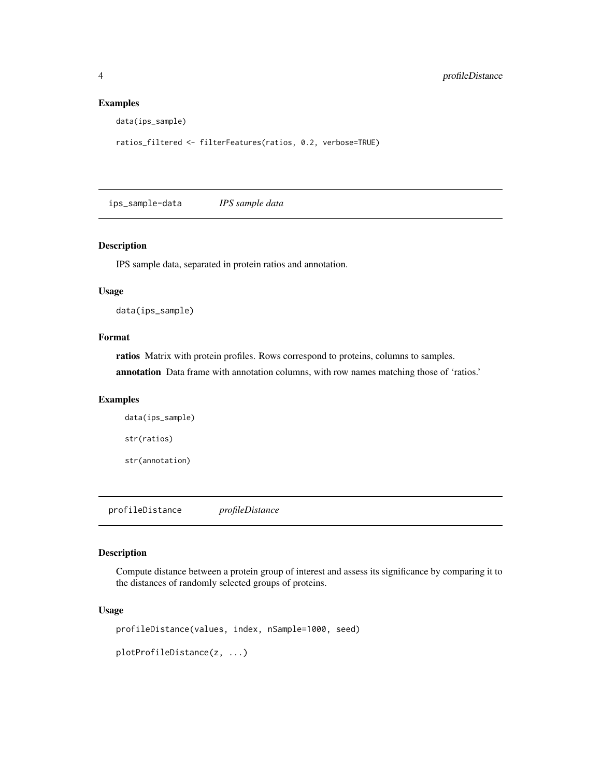#### Examples

```
data(ips_sample)
```
ratios\_filtered <- filterFeatures(ratios, 0.2, verbose=TRUE)

ips\_sample-data *IPS sample data*

#### Description

IPS sample data, separated in protein ratios and annotation.

#### Usage

data(ips\_sample)

#### Format

ratios Matrix with protein profiles. Rows correspond to proteins, columns to samples.

annotation Data frame with annotation columns, with row names matching those of 'ratios.'

#### Examples

```
data(ips_sample)
str(ratios)
str(annotation)
```
profileDistance *profileDistance*

#### Description

Compute distance between a protein group of interest and assess its significance by comparing it to the distances of randomly selected groups of proteins.

#### Usage

```
profileDistance(values, index, nSample=1000, seed)
plotProfileDistance(z, ...)
```
<span id="page-3-0"></span>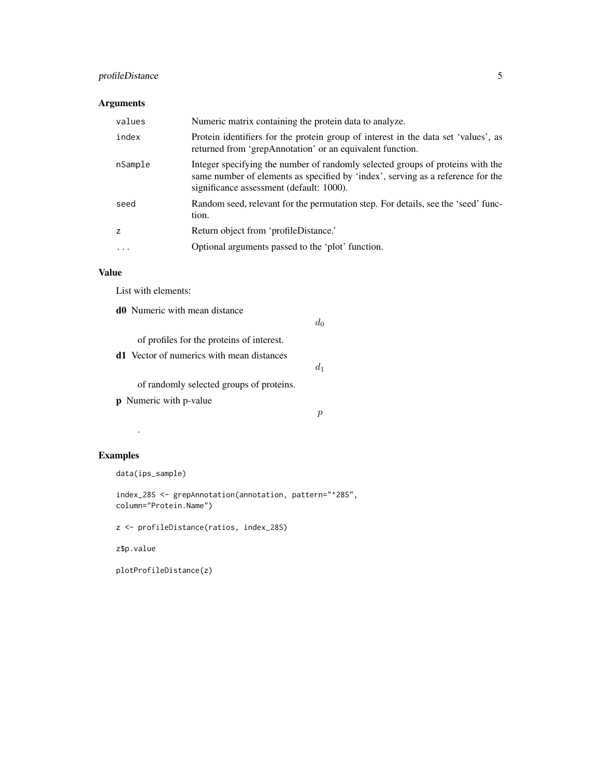#### profileDistance 5

#### Arguments

| values         | Numeric matrix containing the protein data to analyze.                                                                                                                                                        |
|----------------|---------------------------------------------------------------------------------------------------------------------------------------------------------------------------------------------------------------|
| index          | Protein identifiers for the protein group of interest in the data set 'values', as<br>returned from 'grepAnnotation' or an equivalent function.                                                               |
| nSample        | Integer specifying the number of randomly selected groups of proteins with the<br>same number of elements as specified by 'index', serving as a reference for the<br>significance assessment (default: 1000). |
| seed           | Random seed, relevant for the permutation step. For details, see the 'seed' func-<br>tion.                                                                                                                    |
| $\overline{z}$ | Return object from 'profileDistance.'                                                                                                                                                                         |
| .              | Optional arguments passed to the 'plot' function.                                                                                                                                                             |
|                |                                                                                                                                                                                                               |

#### Value

List with elements:

d0 Numeric with mean distance

 $d_0$ 

 $d_1$ 

of profiles for the proteins of interest.

d1 Vector of numerics with mean distances

of randomly selected groups of proteins.

p Numeric with p-value

 $\boldsymbol{p}$ 

#### Examples

data(ips\_sample)

.

index\_28S <- grepAnnotation(annotation, pattern="^28S", column="Protein.Name")

z <- profileDistance(ratios, index\_28S)

z\$p.value

plotProfileDistance(z)